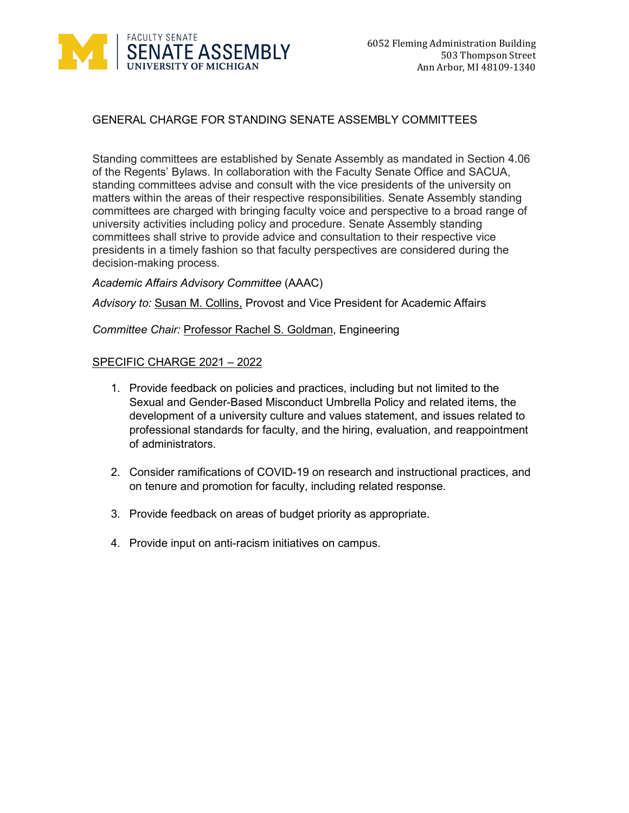

# GENERAL CHARGE FOR STANDING SENATE ASSEMBLY COMMITTEES

Standing committees are established by Senate Assembly as mandated in Section 4.06 of the Regents' Bylaws. In collaboration with the Faculty Senate Office and SACUA, standing committees advise and consult with the vice presidents of the university on matters within the areas of their respective responsibilities. Senate Assembly standing committees are charged with bringing faculty voice and perspective to a broad range of university activities including policy and procedure. Senate Assembly standing committees shall strive to provide advice and consultation to their respective vice presidents in a timely fashion so that faculty perspectives are considered during the decision-making process.

## *Academic Affairs Advisory Committee* (AAAC)

*Advisory to:* Susan M. Collins, Provost and Vice President for Academic Affairs

#### *Committee Chair:* Professor Rachel S. Goldman, Engineering

- 1. Provide feedback on policies and practices, including but not limited to the Sexual and Gender-Based Misconduct Umbrella Policy and related items, the development of a university culture and values statement, and issues related to professional standards for faculty, and the hiring, evaluation, and reappointment of administrators.
- 2. Consider ramifications of COVID-19 on research and instructional practices, and on tenure and promotion for faculty, including related response.
- 3. Provide feedback on areas of budget priority as appropriate.
- 4. Provide input on anti-racism initiatives on campus.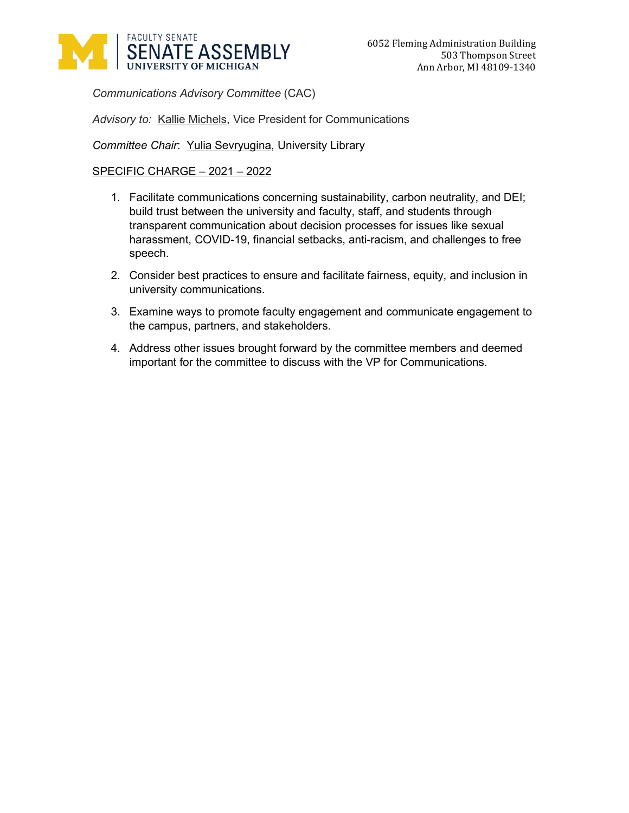

*Communications Advisory Committee* (CAC)

*Advisory to:* Kallie Michels, Vice President for Communications

*Committee Chair*: Yulia Sevryugina, University Library

- 1. Facilitate communications concerning sustainability, carbon neutrality, and DEI; build trust between the university and faculty, staff, and students through transparent communication about decision processes for issues like sexual harassment, COVID-19, financial setbacks, anti-racism, and challenges to free speech.
- 2. Consider best practices to ensure and facilitate fairness, equity, and inclusion in university communications.
- 3. Examine ways to promote faculty engagement and communicate engagement to the campus, partners, and stakeholders.
- 4. Address other issues brought forward by the committee members and deemed important for the committee to discuss with the VP for Communications.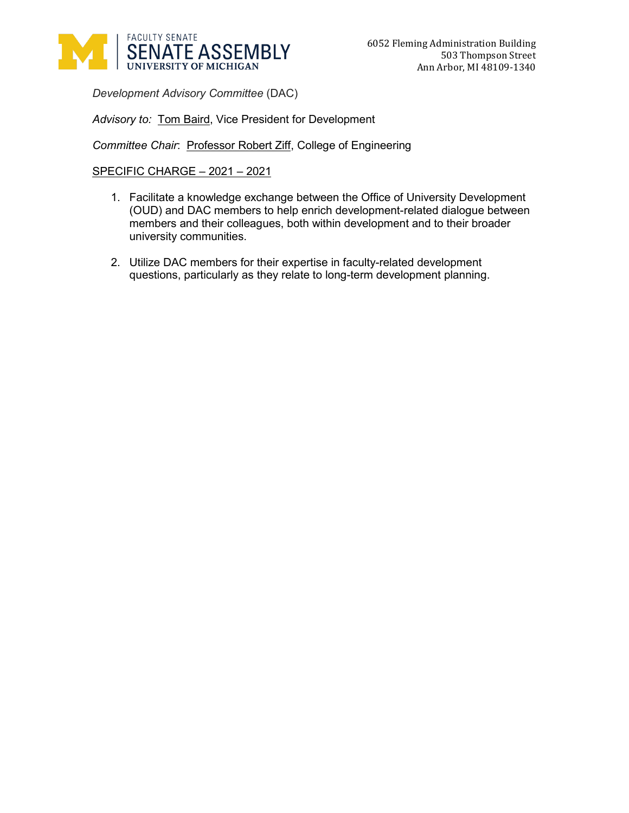

*Development Advisory Committee* (DAC)

*Advisory to:* Tom Baird, Vice President for Development

*Committee Chair*: Professor Robert Ziff, College of Engineering

- 1. Facilitate a knowledge exchange between the Office of University Development (OUD) and DAC members to help enrich development-related dialogue between members and their colleagues, both within development and to their broader university communities.
- 2. Utilize DAC members for their expertise in faculty-related development questions, particularly as they relate to long-term development planning.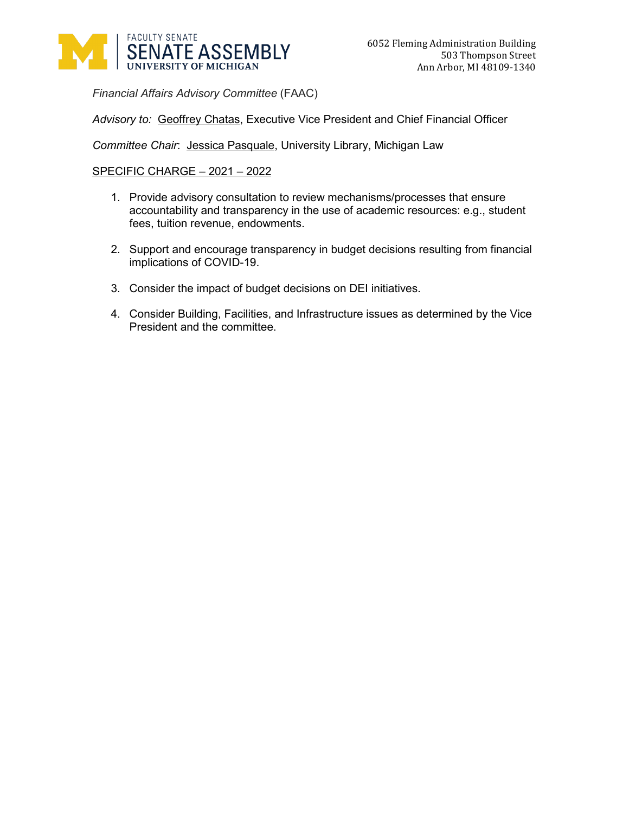

*Financial Affairs Advisory Committee* (FAAC)

*Advisory to:* Geoffrey Chatas, Executive Vice President and Chief Financial Officer

*Committee Chair*: Jessica Pasquale, University Library, Michigan Law

- 1. Provide advisory consultation to review mechanisms/processes that ensure accountability and transparency in the use of academic resources: e.g., student fees, tuition revenue, endowments.
- 2. Support and encourage transparency in budget decisions resulting from financial implications of COVID-19.
- 3. Consider the impact of budget decisions on DEI initiatives.
- 4. Consider Building, Facilities, and Infrastructure issues as determined by the Vice President and the committee.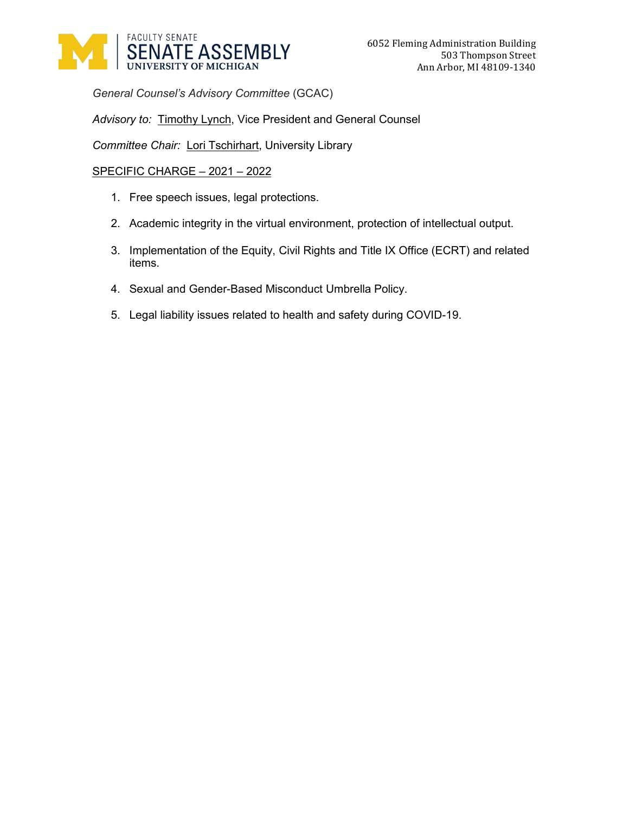

*General Counsel's Advisory Committee* (GCAC)

*Advisory to:* Timothy Lynch, Vice President and General Counsel

*Committee Chair:* Lori Tschirhart, University Library

- 1. Free speech issues, legal protections.
- 2. Academic integrity in the virtual environment, protection of intellectual output.
- 3. Implementation of the Equity, Civil Rights and Title IX Office (ECRT) and related items.
- 4. Sexual and Gender-Based Misconduct Umbrella Policy.
- 5. Legal liability issues related to health and safety during COVID-19.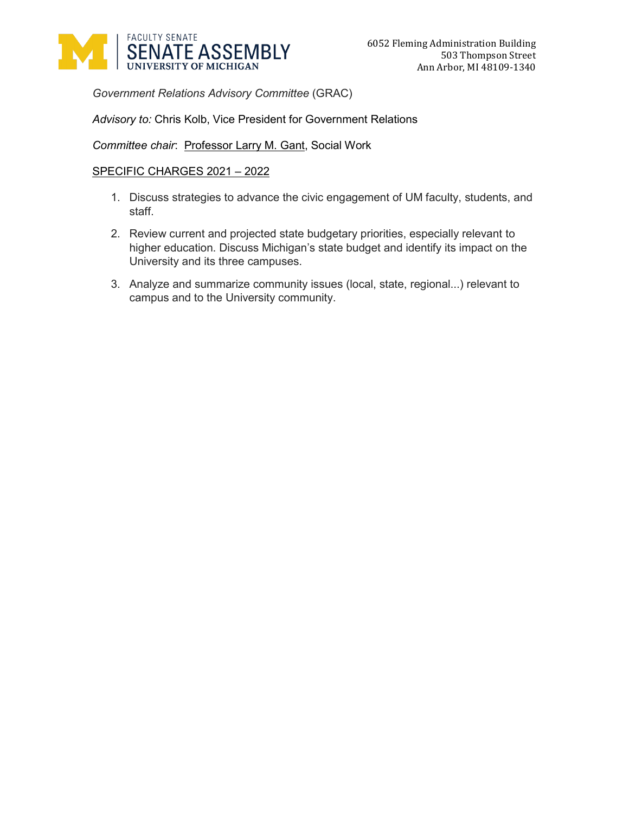

*Government Relations Advisory Committee* (GRAC)

## *Advisory to:* Chris Kolb, Vice President for Government Relations

Committee chair: Professor Larry M. Gant, Social Work

- 1. Discuss strategies to advance the civic engagement of UM faculty, students, and staff.
- 2. Review current and projected state budgetary priorities, especially relevant to higher education. Discuss Michigan's state budget and identify its impact on the University and its three campuses.
- 3. Analyze and summarize community issues (local, state, regional...) relevant to campus and to the University community.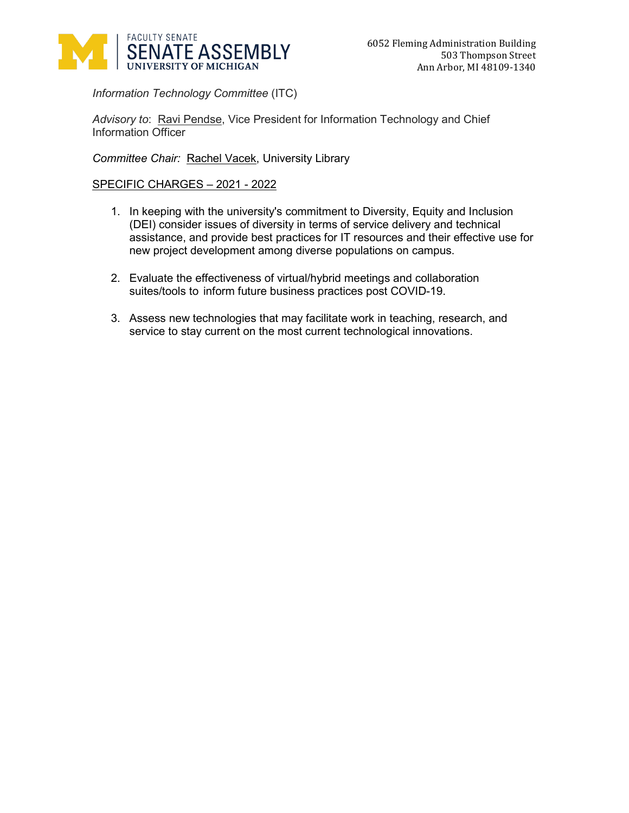

*Information Technology Committee* (ITC)

*Advisory to*: Ravi Pendse, Vice President for Information Technology and Chief Information Officer

*Committee Chair:* Rachel Vacek, University Library

- 1. In keeping with the university's commitment to Diversity, Equity and Inclusion (DEI) consider issues of diversity in terms of service delivery and technical assistance, and provide best practices for IT resources and their effective use for new project development among diverse populations on campus.
- 2. Evaluate the effectiveness of virtual/hybrid meetings and collaboration suites/tools to inform future business practices post COVID-19.
- 3. Assess new technologies that may facilitate work in teaching, research, and service to stay current on the most current technological innovations.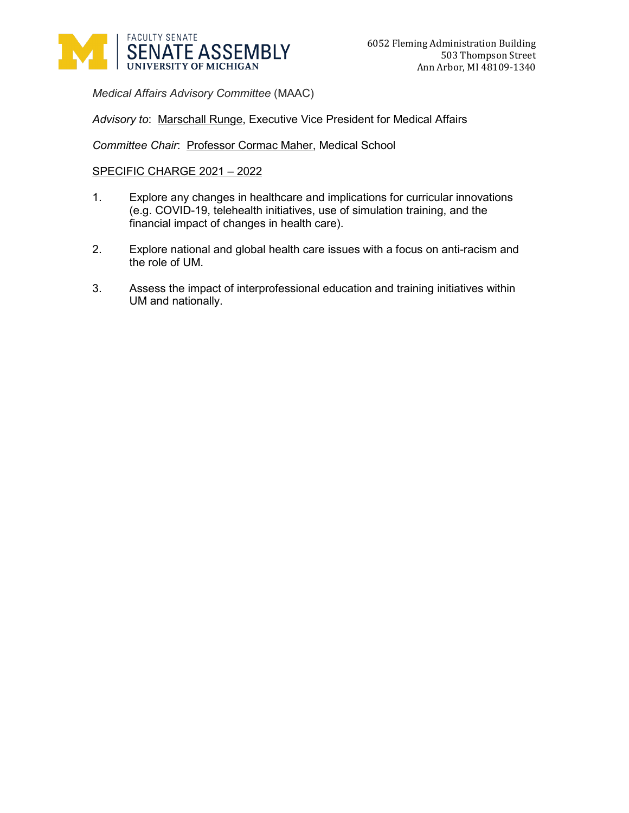

*Medical Affairs Advisory Committee* (MAAC)

*Advisory to*: Marschall Runge, Executive Vice President for Medical Affairs

Committee Chair: Professor Cormac Maher, Medical School

- 1. Explore any changes in healthcare and implications for curricular innovations (e.g. COVID-19, telehealth initiatives, use of simulation training, and the financial impact of changes in health care).
- 2. Explore national and global health care issues with a focus on anti-racism and the role of UM.
- 3. Assess the impact of interprofessional education and training initiatives within UM and nationally.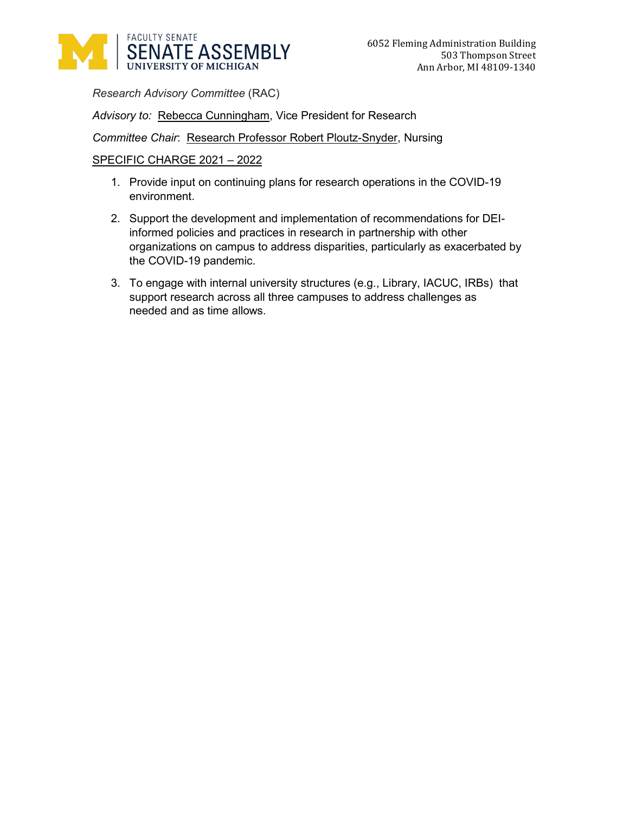

*Research Advisory Committee* (RAC)

*Advisory to:* Rebecca Cunningham, Vice President for Research

**Committee Chair: Research Professor Robert Ploutz-Snyder, Nursing** 

- 1. Provide input on continuing plans for research operations in the COVID-19 environment.
- 2. Support the development and implementation of recommendations for DEIinformed policies and practices in research in partnership with other organizations on campus to address disparities, particularly as exacerbated by the COVID-19 pandemic.
- 3. To engage with internal university structures (e.g., Library, IACUC, IRBs) that support research across all three campuses to address challenges as needed and as time allows.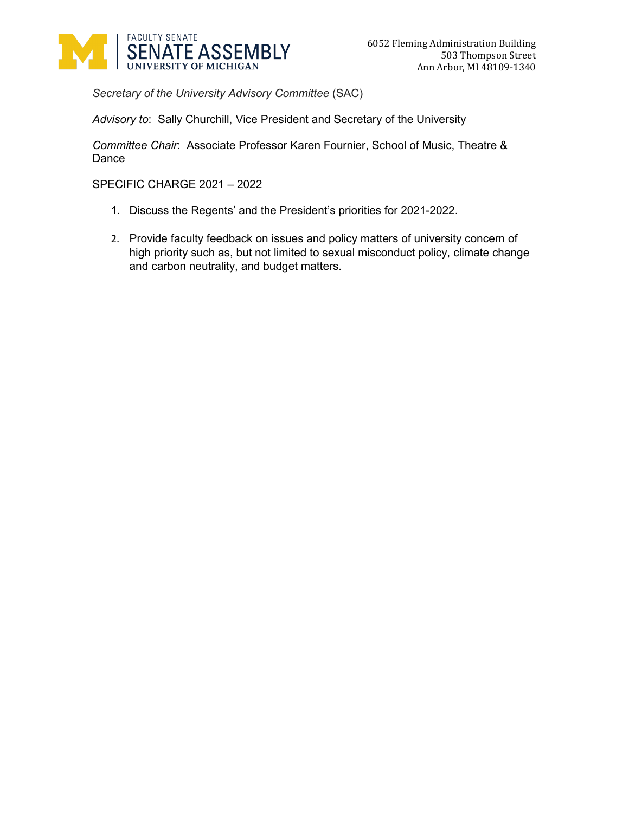

*Secretary of the University Advisory Committee* (SAC)

*Advisory to*: Sally Churchill, Vice President and Secretary of the University

*Committee Chair*: Associate Professor Karen Fournier, School of Music, Theatre & Dance

- 1. Discuss the Regents' and the President's priorities for 2021-2022.
- 2. Provide faculty feedback on issues and policy matters of university concern of high priority such as, but not limited to sexual misconduct policy, climate change and carbon neutrality, and budget matters.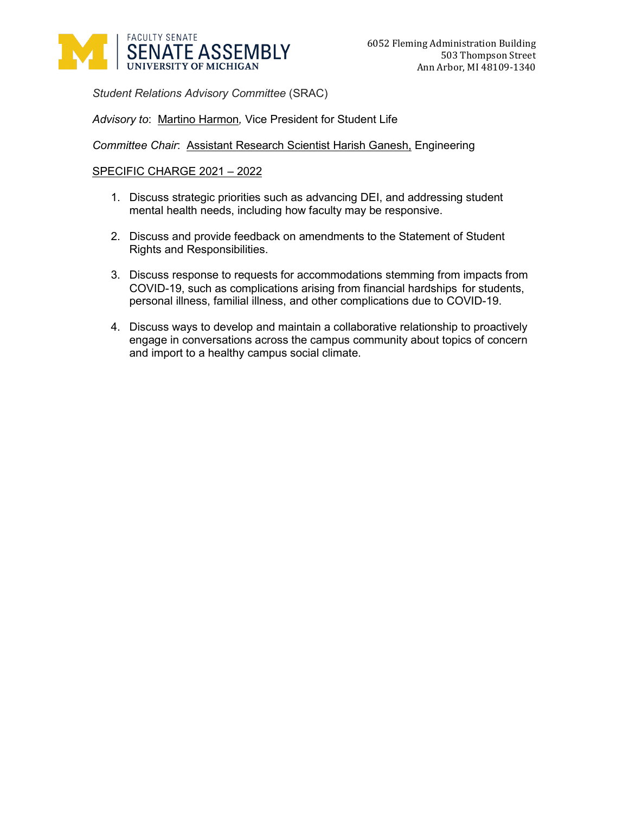

*Student Relations Advisory Committee* (SRAC)

*Advisory to*: Martino Harmon*,* Vice President for Student Life

*Committee Chair*: Assistant Research Scientist Harish Ganesh, Engineering

- 1. Discuss strategic priorities such as advancing DEI, and addressing student mental health needs, including how faculty may be responsive.
- 2. Discuss and provide feedback on amendments to the Statement of Student Rights and Responsibilities.
- 3. Discuss response to requests for accommodations stemming from impacts from COVID-19, such as complications arising from financial hardships for students, personal illness, familial illness, and other complications due to COVID-19.
- 4. Discuss ways to develop and maintain a collaborative relationship to proactively engage in conversations across the campus community about topics of concern and import to a healthy campus social climate.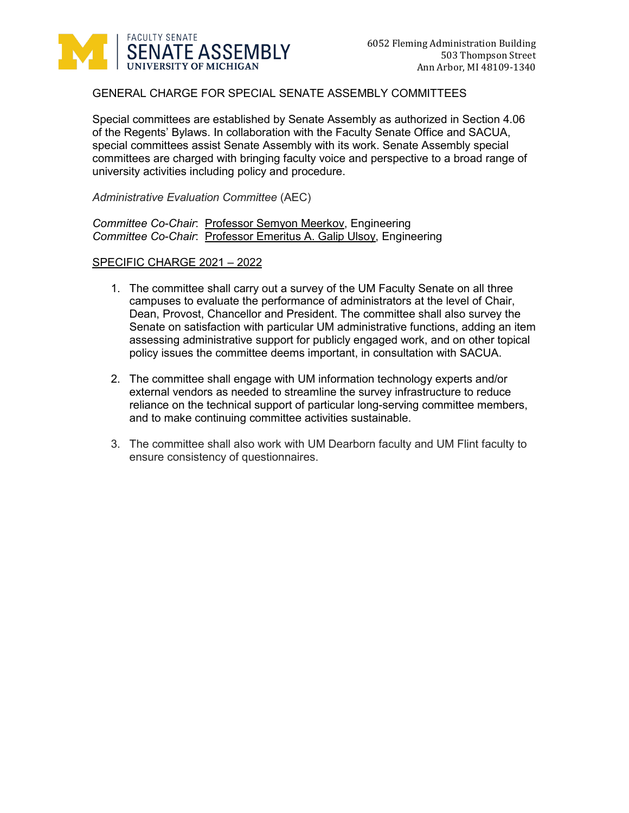

# GENERAL CHARGE FOR SPECIAL SENATE ASSEMBLY COMMITTEES

Special committees are established by Senate Assembly as authorized in Section 4.06 of the Regents' Bylaws. In collaboration with the Faculty Senate Office and SACUA, special committees assist Senate Assembly with its work. Senate Assembly special committees are charged with bringing faculty voice and perspective to a broad range of university activities including policy and procedure.

*Administrative Evaluation Committee* (AEC)

*Committee Co-Chair*: Professor Semyon Meerkov, Engineering *Committee Co-Chair*: Professor Emeritus A. Galip Ulsoy, Engineering

- 1. The committee shall carry out a survey of the UM Faculty Senate on all three campuses to evaluate the performance of administrators at the level of Chair, Dean, Provost, Chancellor and President. The committee shall also survey the Senate on satisfaction with particular UM administrative functions, adding an item assessing administrative support for publicly engaged work, and on other topical policy issues the committee deems important, in consultation with SACUA.
- 2. The committee shall engage with UM information technology experts and/or external vendors as needed to streamline the survey infrastructure to reduce reliance on the technical support of particular long-serving committee members, and to make continuing committee activities sustainable.
- 3. The committee shall also work with UM Dearborn faculty and UM Flint faculty to ensure consistency of questionnaires.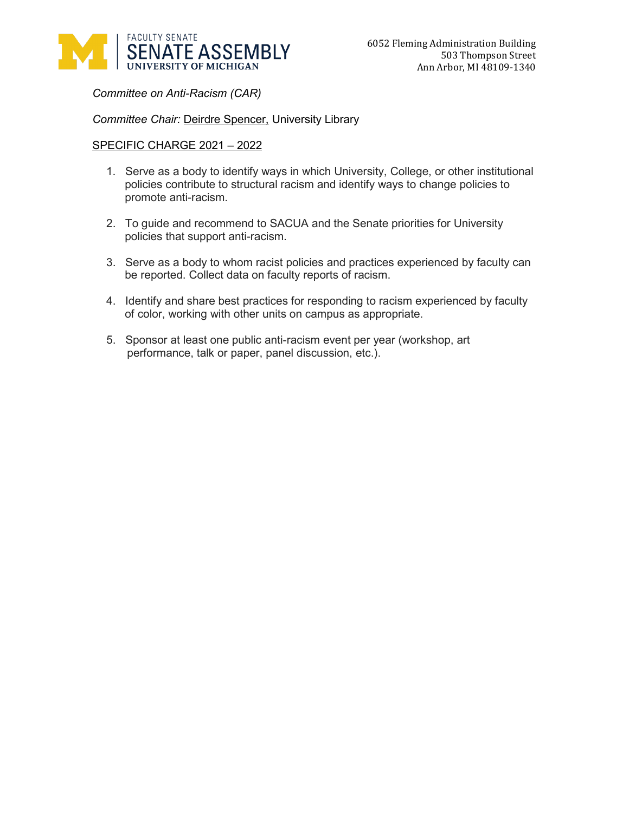

*Committee on Anti-Racism (CAR)*

## *Committee Chair:* Deirdre Spencer, University Library

- 1. Serve as a body to identify ways in which University, College, or other institutional policies contribute to structural racism and identify ways to change policies to promote anti-racism.
- 2. To guide and recommend to SACUA and the Senate priorities for University policies that support anti-racism.
- 3. Serve as a body to whom racist policies and practices experienced by faculty can be reported. Collect data on faculty reports of racism.
- 4. Identify and share best practices for responding to racism experienced by faculty of color, working with other units on campus as appropriate.
- 5. Sponsor at least one public anti-racism event per year (workshop, art performance, talk or paper, panel discussion, etc.).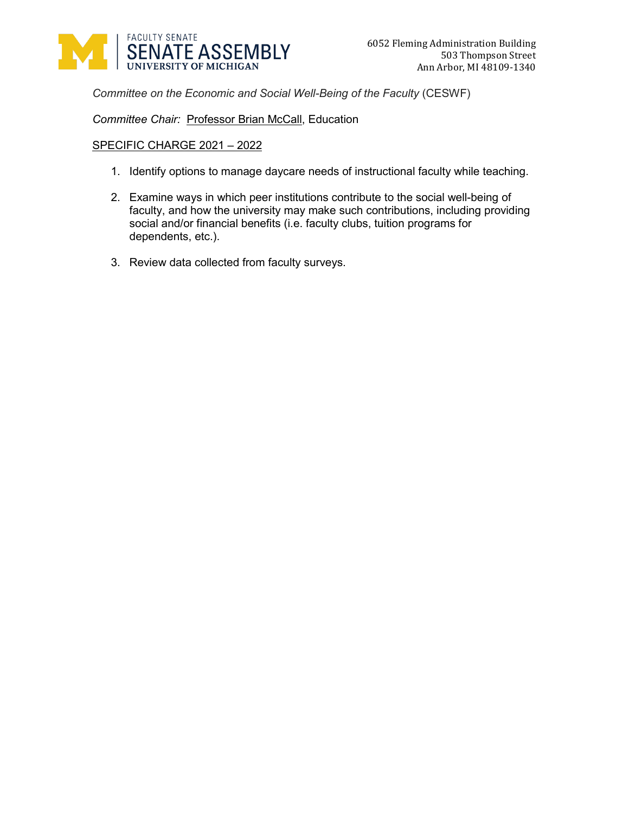

*Committee on the Economic and Social Well-Being of the Faculty* (CESWF)

*Committee Chair:* Professor Brian McCall, Education

- 1. Identify options to manage daycare needs of instructional faculty while teaching.
- 2. Examine ways in which peer institutions contribute to the social well-being of faculty, and how the university may make such contributions, including providing social and/or financial benefits (i.e. faculty clubs, tuition programs for dependents, etc.).
- 3. Review data collected from faculty surveys.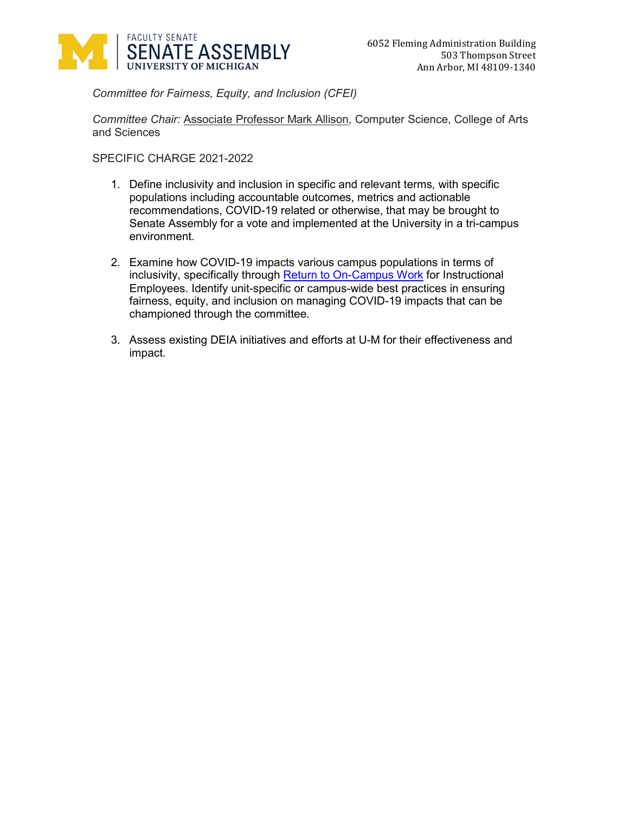

*Committee for Fairness, Equity, and Inclusion (CFEI)*

*Committee Chair:* Associate Professor Mark Allison, Computer Science, College of Arts and Sciences

- 1. Define inclusivity and inclusion in specific and relevant terms, with specific populations including accountable outcomes, metrics and actionable recommendations, COVID-19 related or otherwise, that may be brought to Senate Assembly for a vote and implemented at the University in a tri-campus environment.
- 2. Examine how COVID-19 impacts various campus populations in terms of inclusivity, specifically through [Return to On-Campus Work](http://provost.umich.edu/covid-19/20200707returntooncampuswork.html) for Instructional Employees. Identify unit-specific or campus-wide best practices in ensuring fairness, equity, and inclusion on managing COVID-19 impacts that can be championed through the committee.
- 3. Assess existing DEIA initiatives and efforts at U-M for their effectiveness and impact.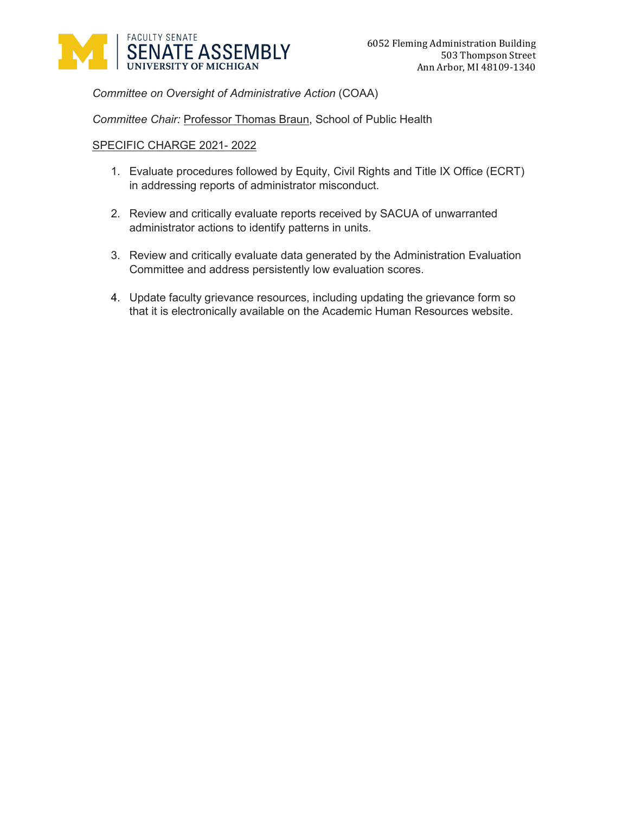

*Committee on Oversight of Administrative Action* (COAA)

*Committee Chair:* Professor Thomas Braun, School of Public Health

- 1. Evaluate procedures followed by Equity, Civil Rights and Title IX Office (ECRT) in addressing reports of administrator misconduct.
- 2. Review and critically evaluate reports received by SACUA of unwarranted administrator actions to identify patterns in units.
- 3. Review and critically evaluate data generated by the Administration Evaluation Committee and address persistently low evaluation scores.
- 4. Update faculty grievance resources, including updating the grievance form so that it is electronically available on the Academic Human Resources website.